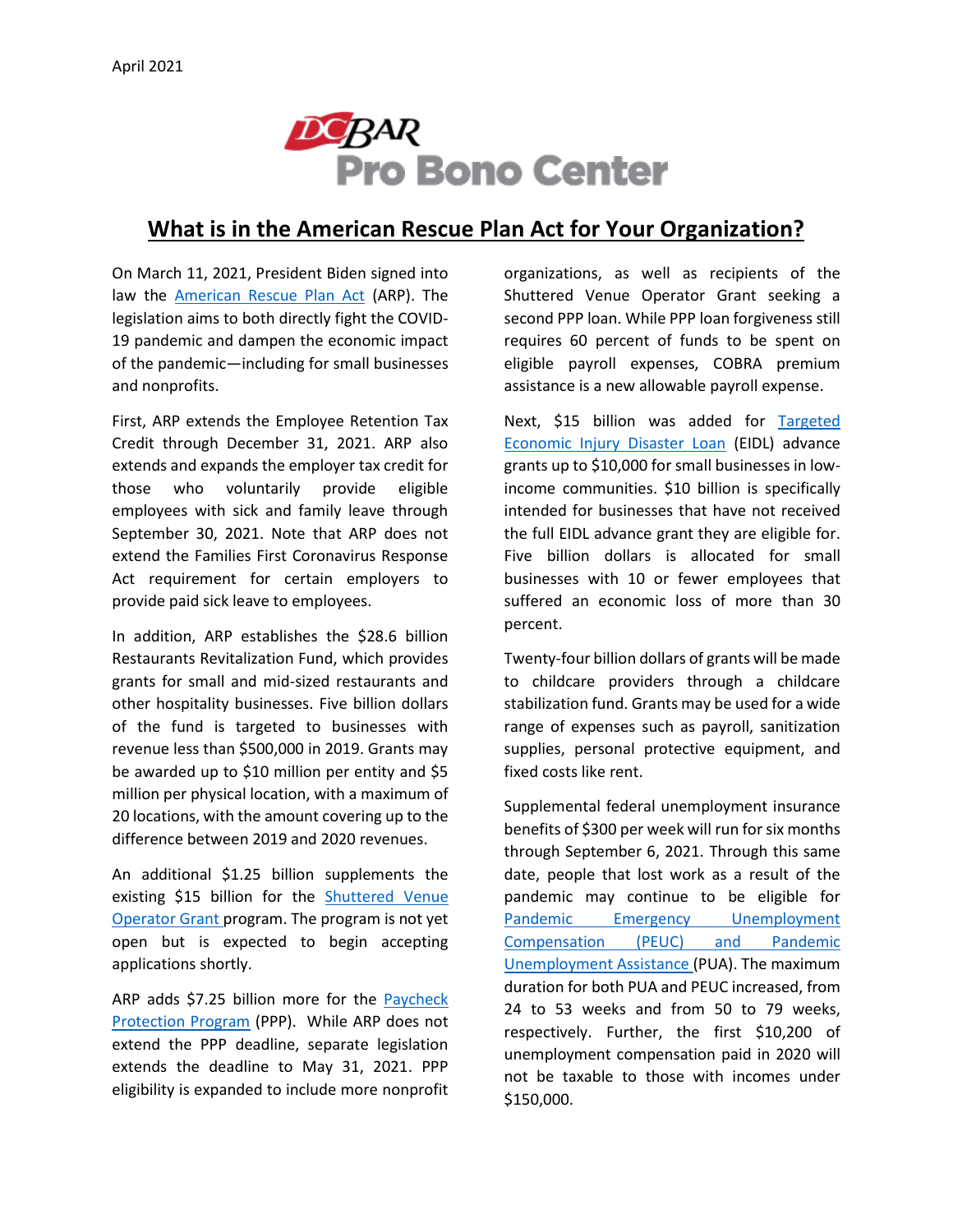

## **What is in the American Rescue Plan Act for Your Organization?**

On March 11, 2021, President Biden signed into law the [American Rescue Plan Act](https://www.congress.gov/bill/117th-congress/house-bill/1319) (ARP). The legislation aims to both directly fight the COVID-19 pandemic and dampen the economic impact of the pandemic—including for small businesses and nonprofits.

First, ARP extends the Employee Retention Tax Credit through December 31, 2021. ARP also extends and expands the employer tax credit for those who voluntarily provide eligible employees with sick and family leave through September 30, 2021. Note that ARP does not extend the Families First Coronavirus Response Act requirement for certain employers to provide paid sick leave to employees.

In addition, ARP establishes the \$28.6 billion Restaurants Revitalization Fund, which provides grants for small and mid-sized restaurants and other hospitality businesses. Five billion dollars of the fund is targeted to businesses with revenue less than \$500,000 in 2019. Grants may be awarded up to \$10 million per entity and \$5 million per physical location, with a maximum of 20 locations, with the amount covering up to the difference between 2019 and 2020 revenues.

An additional \$1.25 billion supplements the existing \$15 billion for the [Shuttered Venue](https://www.sba.gov/funding-programs/loans/coronavirus-relief-options/shuttered-venue-operators-grant)  [Operator Grant p](https://www.sba.gov/funding-programs/loans/coronavirus-relief-options/shuttered-venue-operators-grant)rogram. The program is not yet open but is expected to begin accepting applications shortly.

ARP adds \$7.25 billion more for the [Paycheck](https://www.sba.gov/funding-programs/loans/coronavirus-relief-options/paycheck-protection-program)  [Protection Program](https://www.sba.gov/funding-programs/loans/coronavirus-relief-options/paycheck-protection-program) (PPP). While ARP does not extend the PPP deadline, separate legislation extends the deadline to May 31, 2021. PPP eligibility is expanded to include more nonprofit organizations, as well as recipients of the Shuttered Venue Operator Grant seeking a second PPP loan. While PPP loan forgiveness still requires 60 percent of funds to be spent on eligible payroll expenses, COBRA premium assistance is a new allowable payroll expense.

Next, \$15 billion was added for [Targeted](https://www.sba.gov/funding-programs/loans/coronavirus-relief-options/covid-19-economic-injury-disaster-loans#section-header-6)  [Economic Injury Disaster Loan](https://www.sba.gov/funding-programs/loans/coronavirus-relief-options/covid-19-economic-injury-disaster-loans#section-header-6) (EIDL) advance grants up to \$10,000 for small businesses in lowincome communities. \$10 billion is specifically intended for businesses that have not received the full EIDL advance grant they are eligible for. Five billion dollars is allocated for small businesses with 10 or fewer employees that suffered an economic loss of more than 30 percent.

Twenty-four billion dollars of grants will be made to childcare providers through a childcare stabilization fund. Grants may be used for a wide range of expenses such as payroll, sanitization supplies, personal protective equipment, and fixed costs like rent.

Supplemental federal unemployment insurance benefits of \$300 per week will run for six months through September 6, 2021. Through this same date, people that lost work as a result of the pandemic may continue to be eligible for [Pandemic Emergency Unemployment](https://does.dc.gov/service/unemployment-compensation-process)  Compensation [\(PEUC\) and Pandemic](https://does.dc.gov/service/unemployment-compensation-process)  [Unemployment Assistance](https://does.dc.gov/service/unemployment-compensation-process) (PUA). The maximum duration for both PUA and PEUC increased, from 24 to 53 weeks and from 50 to 79 weeks, respectively. Further, the first \$10,200 of unemployment compensation paid in 2020 will not be taxable to those with incomes under \$150,000.